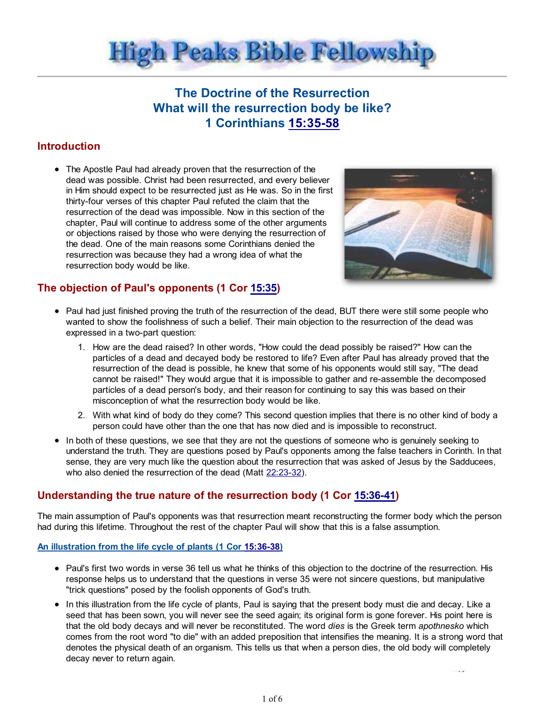

# The Doctrine of the Resurrection What will the resurrection body be like? 1 Corinthians 15:35-58

## **Introduction**

The Apostle Paul had already proven that the resurrection of the dead was possible. Christ had been resurrected, and every believer in Him should expect to be resurrected just as He was. So in the first thirty-four verses of this chapter Paul refuted the claim that the resurrection of the dead was impossible. Now in this section of the chapter, Paul will continue to address some of the other arguments or objections raised by those who were denying the resurrection of the dead. One of the main reasons some Corinthians denied the resurrection was because they had a wrong idea of what the resurrection body would be like.



# The objection of Paul's opponents (1 Cor 15:35)

- Paul had just finished proving the truth of the resurrection of the dead, BUT there were still some people who wanted to show the foolishness of such a belief. Their main objection to the resurrection of the dead was expressed in a two-part question:
	- 1. How are the dead raised? In other words, "How could the dead possibly be raised?" How can the particles of a dead and decayed body be restored to life? Even after Paul has already proved that the resurrection of the dead is possible, he knew that some of his opponents would still say, "The dead cannot be raised!" They would argue that it is impossible to gather and re-assemble the decomposed particles of a dead person's body, and their reason for continuing to say this was based on their misconception of what the resurrection body would be like.
	- With what kind of body do they come? This second question implies that there is no other kind of body a 2. person could have other than the one that has now died and is impossible to reconstruct.
- In both of these questions, we see that they are not the questions of someone who is genuinely seeking to understand the truth. They are questions posed by Paul's opponents among the false teachers in Corinth. In that sense, they are very much like the question about the resurrection that was asked of Jesus by the Sadducees, who also denied the resurrection of the dead (Matt 22:23-32).

# Understanding the true nature of the resurrection body (1 Cor 15:36-41)

The main assumption of Paul's opponents was that resurrection meant reconstructing the former body which the person had during this lifetime. Throughout the rest of the chapter Paul will show that this is a false assumption.

### An illustration from the life cycle of plants (1 Cor 15:36-38)

- Paul's first two words in verse 36 tell us what he thinks of this objection to the doctrine of the resurrection. His response helps us to understand that the questions in verse 35 were not sincere questions, but manipulative "trick questions" posed by the foolish opponents of God's truth.
- In this illustration from the life cycle of plants, Paul is saying that the present body must die and decay. Like a seed that has been sown, you will never see the seed again; its original form is gone forever. His point here is that the old body decays and will never be reconstituted. The word dies is the Greek term apothnesko which comes from the root word "to die" with an added preposition that intensifies the meaning. It is a strong word that denotes the physical death of an organism. This tells us that when a person dies, the old body will completely decay never to return again.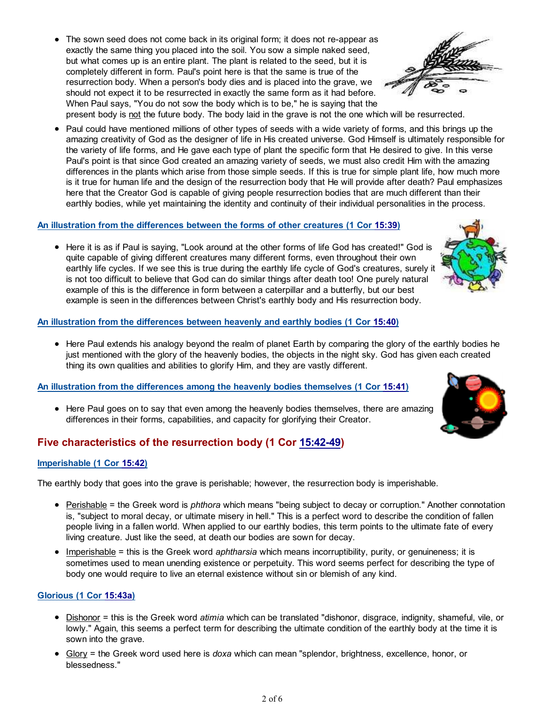- The sown seed does not come back in its original form; it does not re-appear as exactly the same thing you placed into the soil. You sow a simple naked seed, but what comes up is an entire plant. The plant is related to the seed, but it is completely different in form. Paul's point here is that the same is true of the resurrection body. When a person's body dies and is placed into the grave, we should not expect it to be resurrected in exactly the same form as it had before. When Paul says, "You do not sow the body which is to be," he is saying that the
	- present body is not the future body. The body laid in the grave is not the one which will be resurrected.
- Paul could have mentioned millions of other types of seeds with a wide variety of forms, and this brings up the amazing creativity of God as the designer of life in His created universe. God Himself is ultimately responsible for the variety of life forms, and He gave each type of plant the specific form that He desired to give. In this verse Paul's point is that since God created an amazing variety of seeds, we must also credit Him with the amazing differences in the plants which arise from those simple seeds. If this is true for simple plant life, how much more is it true for human life and the design of the resurrection body that He will provide after death? Paul emphasizes here that the Creator God is capable of giving people resurrection bodies that are much different than their earthly bodies, while yet maintaining the identity and continuity of their individual personalities in the process.

## An illustration from the differences between the forms of other creatures (1 Cor 15:39)

• Here it is as if Paul is saying, "Look around at the other forms of life God has created!" God is quite capable of giving different creatures many different forms, even throughout their own earthly life cycles. If we see this is true during the earthly life cycle of God's creatures, surely it is not too difficult to believe that God can do similar things after death too! One purely natural example of this is the difference in form between a caterpillar and a butterfly, but our best example is seen in the differences between Christ's earthly body and His resurrection body.

### An illustration from the differences between heavenly and earthly bodies (1 Cor 15:40)

• Here Paul extends his analogy beyond the realm of planet Earth by comparing the glory of the earthly bodies he just mentioned with the glory of the heavenly bodies, the objects in the night sky. God has given each created thing its own qualities and abilities to glorify Him, and they are vastly different.

# An illustration from the differences among the heavenly bodies themselves (1 Cor 15:41)

• Here Paul goes on to say that even among the heavenly bodies themselves, there are amazing differences in their forms, capabilities, and capacity for glorifying their Creator.

# Five characteristics of the resurrection body (1 Cor 15:42-49)

### Imperishable (1 Cor 15:42)

The earthly body that goes into the grave is perishable; however, the resurrection body is imperishable.

- Perishable = the Greek word is *phthora* which means "being subject to decay or corruption." Another connotation is, "subject to moral decay, or ultimate misery in hell." This is a perfect word to describe the condition of fallen people living in a fallen world. When applied to our earthly bodies, this term points to the ultimate fate of every living creature. Just like the seed, at death our bodies are sown for decay.
- Imperishable = this is the Greek word aphtharsia which means incorruptibility, purity, or genuineness; it is sometimes used to mean unending existence or perpetuity. This word seems perfect for describing the type of body one would require to live an eternal existence without sin or blemish of any kind.

### Glorious (1 Cor 15:43a)

- Dishonor = this is the Greek word atimia which can be translated "dishonor, disgrace, indignity, shameful, vile, or lowly." Again, this seems a perfect term for describing the ultimate condition of the earthly body at the time it is sown into the grave.
- Glory = the Greek word used here is *doxa* which can mean "splendor, brightness, excellence, honor, or blessedness."



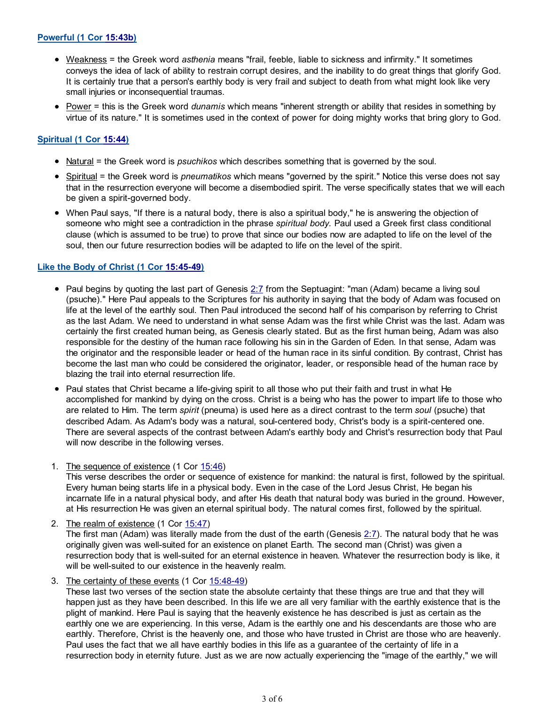### Powerful (1 Cor 15:43b)

- Weakness = the Greek word asthenia means "frail, feeble, liable to sickness and infirmity." It sometimes conveys the idea of lack of ability to restrain corrupt desires, and the inability to do great things that glorify God. It is certainly true that a person's earthly body is very frail and subject to death from what might look like very small injuries or inconsequential traumas.
- Power = this is the Greek word dunamis which means "inherent strength or ability that resides in something by virtue of its nature." It is sometimes used in the context of power for doing mighty works that bring glory to God.

### Spiritual (1 Cor 15:44)

- Natural = the Greek word is psuchikos which describes something that is governed by the soul.
- Spiritual = the Greek word is *pneumatikos* which means "governed by the spirit." Notice this verse does not say that in the resurrection everyone will become a disembodied spirit. The verse specifically states that we will each be given a spirit-governed body.
- When Paul says, "If there is a natural body, there is also a spiritual body," he is answering the objection of someone who might see a contradiction in the phrase spiritual body. Paul used a Greek first class conditional clause (which is assumed to be true) to prove that since our bodies now are adapted to life on the level of the soul, then our future resurrection bodies will be adapted to life on the level of the spirit.

### Like the Body of Christ (1 Cor 15:45-49)

- Paul begins by quoting the last part of Genesis 2:7 from the Septuagint: "man (Adam) became a living soul (psuche)." Here Paul appeals to the Scriptures for his authority in saying that the body of Adam was focused on life at the level of the earthly soul. Then Paul introduced the second half of his comparison by referring to Christ as the last Adam. We need to understand in what sense Adam was the first while Christ was the last. Adam was certainly the first created human being, as Genesis clearly stated. But as the first human being, Adam was also responsible for the destiny of the human race following his sin in the Garden of Eden. In that sense, Adam was the originator and the responsible leader or head of the human race in its sinful condition. By contrast, Christ has become the last man who could be considered the originator, leader, or responsible head of the human race by blazing the trail into eternal resurrection life.
- Paul states that Christ became a life-giving spirit to all those who put their faith and trust in what He accomplished for mankind by dying on the cross. Christ is a being who has the power to impart life to those who are related to Him. The term spirit (pneuma) is used here as a direct contrast to the term soul (psuche) that described Adam. As Adam's body was a natural, soul-centered body, Christ's body is a spirit-centered one. There are several aspects of the contrast between Adam's earthly body and Christ's resurrection body that Paul will now describe in the following verses.
- 1. The sequence of existence (1 Cor 15:46)

This verse describes the order or sequence of existence for mankind: the natural is first, followed by the spiritual. Every human being starts life in a physical body. Even in the case of the Lord Jesus Christ, He began his incarnate life in a natural physical body, and after His death that natural body was buried in the ground. However, at His resurrection He was given an eternal spiritual body. The natural comes first, followed by the spiritual.

- 2. The realm of existence (1 Cor 15:47) The first man (Adam) was literally made from the dust of the earth (Genesis 2:7). The natural body that he was originally given was well-suited for an existence on planet Earth. The second man (Christ) was given a resurrection body that is well-suited for an eternal existence in heaven. Whatever the resurrection body is like, it will be well-suited to our existence in the heavenly realm.
- 3. The certainty of these events (1 Cor 15:48-49)

These last two verses of the section state the absolute certainty that these things are true and that they will happen just as they have been described. In this life we are all very familiar with the earthly existence that is the plight of mankind. Here Paul is saying that the heavenly existence he has described is just as certain as the earthly one we are experiencing. In this verse, Adam is the earthly one and his descendants are those who are earthly. Therefore, Christ is the heavenly one, and those who have trusted in Christ are those who are heavenly. Paul uses the fact that we all have earthly bodies in this life as a guarantee of the certainty of life in a resurrection body in eternity future. Just as we are now actually experiencing the "image of the earthly," we will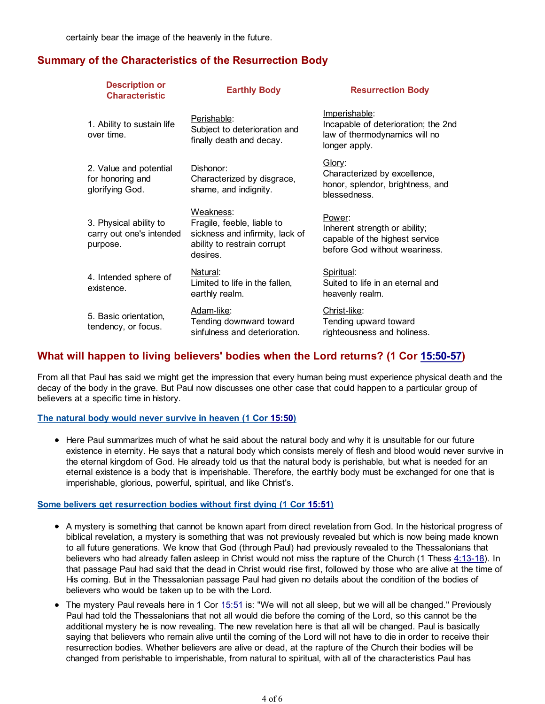certainly bear the image of the heavenly in the future.

### Summary of the Characteristics of the Resurrection Body

| <b>Description or</b><br><b>Characteristic</b>                 | <b>Earthly Body</b>                                                                                                   | <b>Resurrection Body</b>                                                                                      |
|----------------------------------------------------------------|-----------------------------------------------------------------------------------------------------------------------|---------------------------------------------------------------------------------------------------------------|
| 1. Ability to sustain life<br>over time.                       | Perishable:<br>Subject to deterioration and<br>finally death and decay.                                               | <u>Imperishable:</u><br>Incapable of deterioration; the 2nd<br>law of thermodynamics will no<br>longer apply. |
| 2. Value and potential<br>for honoring and<br>glorifying God.  | Dishonor:<br>Characterized by disgrace,<br>shame, and indignity.                                                      | Glory:<br>Characterized by excellence,<br>honor, splendor, brightness, and<br>blessedness.                    |
| 3. Physical ability to<br>carry out one's intended<br>purpose. | Weakness:<br>Fragile, feeble, liable to<br>sickness and infirmity, lack of<br>ability to restrain corrupt<br>desires. | Power:<br>Inherent strength or ability;<br>capable of the highest service<br>before God without weariness.    |
| 4. Intended sphere of<br>existence.                            | Natural:<br>Limited to life in the fallen,<br>earthly realm.                                                          | Spiritual:<br>Suited to life in an eternal and<br>heavenly realm.                                             |
| 5. Basic orientation,<br>tendency, or focus.                   | Adam-like:<br>Tending downward toward<br>sinfulness and deterioration.                                                | Christ-like:<br>Tending upward toward<br>righteousness and holiness.                                          |

### What will happen to living believers' bodies when the Lord returns? (1 Cor 15:50-57)

From all that Paul has said we might get the impression that every human being must experience physical death and the decay of the body in the grave. But Paul now discusses one other case that could happen to a particular group of believers at a specific time in history.

#### The natural body would never survive in heaven (1 Cor 15:50)

• Here Paul summarizes much of what he said about the natural body and why it is unsuitable for our future existence in eternity. He says that a natural body which consists merely of flesh and blood would never survive in the eternal kingdom of God. He already told us that the natural body is perishable, but what is needed for an eternal existence is a body that is imperishable. Therefore, the earthly body must be exchanged for one that is imperishable, glorious, powerful, spiritual, and like Christ's.

#### Some belivers get resurrection bodies without first dying (1 Cor 15:51)

- A mystery is something that cannot be known apart from direct revelation from God. In the historical progress of biblical revelation, a mystery is something that was not previously revealed but which is now being made known to all future generations. We know that God (through Paul) had previously revealed to the Thessalonians that believers who had already fallen asleep in Christ would not miss the rapture of the Church (1 Thess 4:13-18). In that passage Paul had said that the dead in Christ would rise first, followed by those who are alive at the time of His coming. But in the Thessalonian passage Paul had given no details about the condition of the bodies of believers who would be taken up to be with the Lord.
- The mystery Paul reveals here in 1 Cor 15:51 is: "We will not all sleep, but we will all be changed." Previously Paul had told the Thessalonians that not all would die before the coming of the Lord, so this cannot be the additional mystery he is now revealing. The new revelation here is that all will be changed. Paul is basically saying that believers who remain alive until the coming of the Lord will not have to die in order to receive their resurrection bodies. Whether believers are alive or dead, at the rapture of the Church their bodies will be changed from perishable to imperishable, from natural to spiritual, with all of the characteristics Paul has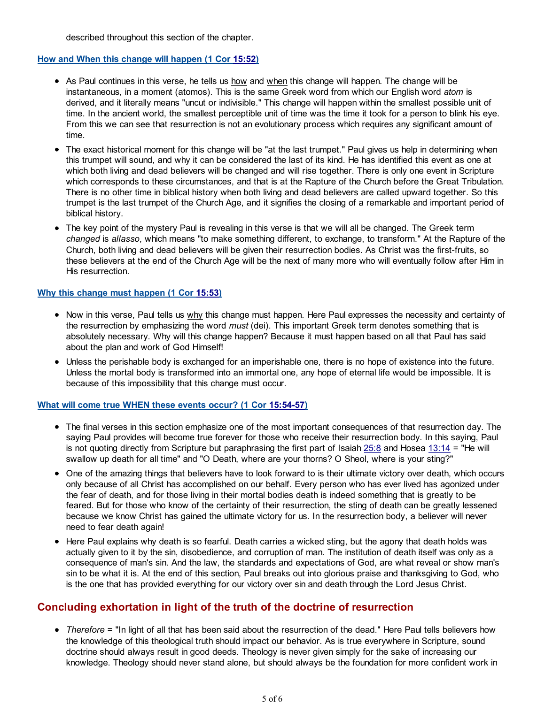described throughout this section of the chapter.

#### How and When this change will happen (1 Cor 15:52)

- As Paul continues in this verse, he tells us how and when this change will happen. The change will be instantaneous, in a moment (atomos). This is the same Greek word from which our English word atom is derived, and it literally means "uncut or indivisible." This change will happen within the smallest possible unit of time. In the ancient world, the smallest perceptible unit of time was the time it took for a person to blink his eye. From this we can see that resurrection is not an evolutionary process which requires any significant amount of time.
- The exact historical moment for this change will be "at the last trumpet." Paul gives us help in determining when this trumpet will sound, and why it can be considered the last of its kind. He has identified this event as one at which both living and dead believers will be changed and will rise together. There is only one event in Scripture which corresponds to these circumstances, and that is at the Rapture of the Church before the Great Tribulation. There is no other time in biblical history when both living and dead believers are called upward together. So this trumpet is the last trumpet of the Church Age, and it signifies the closing of a remarkable and important period of biblical history.
- The key point of the mystery Paul is revealing in this verse is that we will all be changed. The Greek term changed is allasso, which means "to make something different, to exchange, to transform." At the Rapture of the Church, both living and dead believers will be given their resurrection bodies. As Christ was the first-fruits, so these believers at the end of the Church Age will be the next of many more who will eventually follow after Him in His resurrection.

#### Why this change must happen (1 Cor 15:53)

- Now in this verse, Paul tells us why this change must happen. Here Paul expresses the necessity and certainty of the resurrection by emphasizing the word *must* (dei). This important Greek term denotes something that is absolutely necessary. Why will this change happen? Because it must happen based on all that Paul has said about the plan and work of God Himself!
- Unless the perishable body is exchanged for an imperishable one, there is no hope of existence into the future. Unless the mortal body is transformed into an immortal one, any hope of eternal life would be impossible. It is because of this impossibility that this change must occur.

#### What will come true WHEN these events occur? (1 Cor 15:54-57)

- The final verses in this section emphasize one of the most important consequences of that resurrection day. The saying Paul provides will become true forever for those who receive their resurrection body. In this saying, Paul is not quoting directly from Scripture but paraphrasing the first part of Isaiah 25:8 and Hosea 13:14 = "He will swallow up death for all time" and "O Death, where are your thorns? O Sheol, where is your sting?"
- One of the amazing things that believers have to look forward to is their ultimate victory over death, which occurs only because of all Christ has accomplished on our behalf. Every person who has ever lived has agonized under the fear of death, and for those living in their mortal bodies death is indeed something that is greatly to be feared. But for those who know of the certainty of their resurrection, the sting of death can be greatly lessened because we know Christ has gained the ultimate victory for us. In the resurrection body, a believer will never need to fear death again!
- Here Paul explains why death is so fearful. Death carries a wicked sting, but the agony that death holds was actually given to it by the sin, disobedience, and corruption of man. The institution of death itself was only as a consequence of man's sin. And the law, the standards and expectations of God, are what reveal or show man's sin to be what it is. At the end of this section, Paul breaks out into glorious praise and thanksgiving to God, who is the one that has provided everything for our victory over sin and death through the Lord Jesus Christ.

### Concluding exhortation in light of the truth of the doctrine of resurrection

• Therefore = "In light of all that has been said about the resurrection of the dead." Here Paul tells believers how the knowledge of this theological truth should impact our behavior. As is true everywhere in Scripture, sound doctrine should always result in good deeds. Theology is never given simply for the sake of increasing our knowledge. Theology should never stand alone, but should always be the foundation for more confident work in